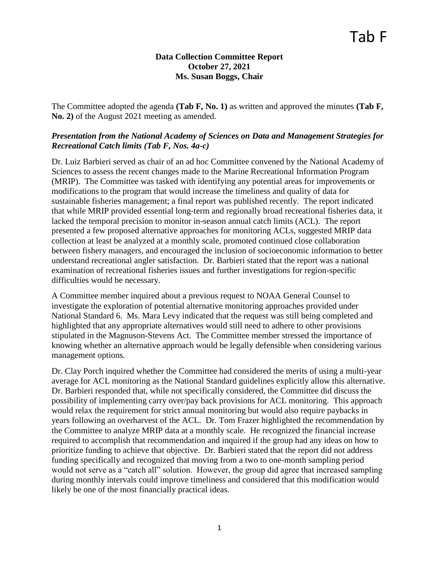## **Data Collection Committee Report October 27, 2021 Ms. Susan Boggs, Chair**

The Committee adopted the agenda **(Tab F, No. 1)** as written and approved the minutes **(Tab F, No. 2)** of the August 2021 meeting as amended.

# *Presentation from the National Academy of Sciences on Data and Management Strategies for Recreational Catch limits (Tab F, Nos. 4a-c)*

Dr. Luiz Barbieri served as chair of an ad hoc Committee convened by the National Academy of Sciences to assess the recent changes made to the Marine Recreational Information Program (MRIP). The Committee was tasked with identifying any potential areas for improvements or modifications to the program that would increase the timeliness and quality of data for sustainable fisheries management; a final report was published recently. The report indicated that while MRIP provided essential long-term and regionally broad recreational fisheries data, it lacked the temporal precision to monitor in-season annual catch limits (ACL). The report presented a few proposed alternative approaches for monitoring ACLs, suggested MRIP data collection at least be analyzed at a monthly scale, promoted continued close collaboration between fishery managers, and encouraged the inclusion of socioeconomic information to better understand recreational angler satisfaction. Dr. Barbieri stated that the report was a national examination of recreational fisheries issues and further investigations for region-specific difficulties would be necessary.

A Committee member inquired about a previous request to NOAA General Counsel to investigate the exploration of potential alternative monitoring approaches provided under National Standard 6. Ms. Mara Levy indicated that the request was still being completed and highlighted that any appropriate alternatives would still need to adhere to other provisions stipulated in the Magnuson-Stevens Act. The Committee member stressed the importance of knowing whether an alternative approach would be legally defensible when considering various management options.

Dr. Clay Porch inquired whether the Committee had considered the merits of using a multi-year average for ACL monitoring as the National Standard guidelines explicitly allow this alternative. Dr. Barbieri responded that, while not specifically considered, the Committee did discuss the possibility of implementing carry over/pay back provisions for ACL monitoring. This approach would relax the requirement for strict annual monitoring but would also require paybacks in years following an overharvest of the ACL. Dr. Tom Frazer highlighted the recommendation by the Committee to analyze MRIP data at a monthly scale. He recognized the financial increase required to accomplish that recommendation and inquired if the group had any ideas on how to prioritize funding to achieve that objective. Dr. Barbieri stated that the report did not address funding specifically and recognized that moving from a two to one-month sampling period would not serve as a "catch all" solution. However, the group did agree that increased sampling during monthly intervals could improve timeliness and considered that this modification would likely be one of the most financially practical ideas.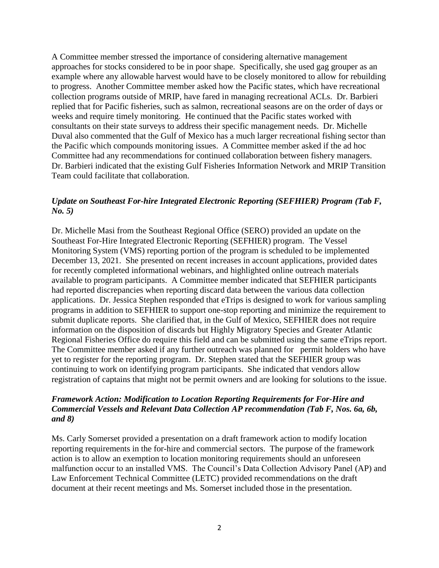A Committee member stressed the importance of considering alternative management approaches for stocks considered to be in poor shape. Specifically, she used gag grouper as an example where any allowable harvest would have to be closely monitored to allow for rebuilding to progress. Another Committee member asked how the Pacific states, which have recreational collection programs outside of MRIP, have fared in managing recreational ACLs. Dr. Barbieri replied that for Pacific fisheries, such as salmon, recreational seasons are on the order of days or weeks and require timely monitoring. He continued that the Pacific states worked with consultants on their state surveys to address their specific management needs. Dr. Michelle Duval also commented that the Gulf of Mexico has a much larger recreational fishing sector than the Pacific which compounds monitoring issues. A Committee member asked if the ad hoc Committee had any recommendations for continued collaboration between fishery managers. Dr. Barbieri indicated that the existing Gulf Fisheries Information Network and MRIP Transition Team could facilitate that collaboration.

#### *Update on Southeast For-hire Integrated Electronic Reporting (SEFHIER) Program (Tab F, No. 5)*

Dr. Michelle Masi from the Southeast Regional Office (SERO) provided an update on the Southeast For-Hire Integrated Electronic Reporting (SEFHIER) program. The Vessel Monitoring System (VMS) reporting portion of the program is scheduled to be implemented December 13, 2021. She presented on recent increases in account applications, provided dates for recently completed informational webinars, and highlighted online outreach materials available to program participants. A Committee member indicated that SEFHIER participants had reported discrepancies when reporting discard data between the various data collection applications. Dr. Jessica Stephen responded that eTrips is designed to work for various sampling programs in addition to SEFHIER to support one-stop reporting and minimize the requirement to submit duplicate reports. She clarified that, in the Gulf of Mexico, SEFHIER does not require information on the disposition of discards but Highly Migratory Species and Greater Atlantic Regional Fisheries Office do require this field and can be submitted using the same eTrips report. The Committee member asked if any further outreach was planned for permit holders who have yet to register for the reporting program. Dr. Stephen stated that the SEFHIER group was continuing to work on identifying program participants. She indicated that vendors allow registration of captains that might not be permit owners and are looking for solutions to the issue.

# *Framework Action: Modification to Location Reporting Requirements for For-Hire and Commercial Vessels and Relevant Data Collection AP recommendation (Tab F, Nos. 6a, 6b, and 8)*

Ms. Carly Somerset provided a presentation on a draft framework action to modify location reporting requirements in the for-hire and commercial sectors. The purpose of the framework action is to allow an exemption to location monitoring requirements should an unforeseen malfunction occur to an installed VMS. The Council's Data Collection Advisory Panel (AP) and Law Enforcement Technical Committee (LETC) provided recommendations on the draft document at their recent meetings and Ms. Somerset included those in the presentation.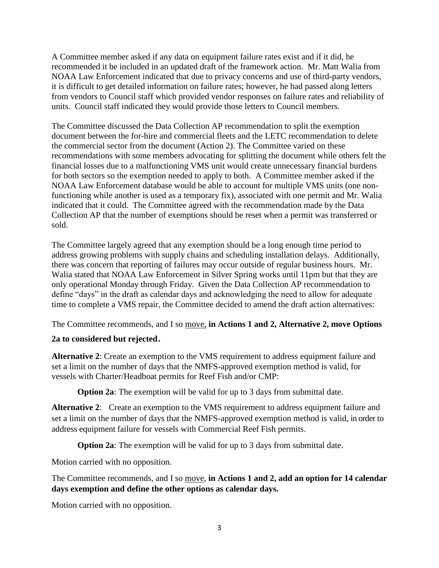A Committee member asked if any data on equipment failure rates exist and if it did, he recommended it be included in an updated draft of the framework action. Mr. Matt Walia from NOAA Law Enforcement indicated that due to privacy concerns and use of third-party vendors, it is difficult to get detailed information on failure rates; however, he had passed along letters from vendors to Council staff which provided vendor responses on failure rates and reliability of units. Council staff indicated they would provide those letters to Council members.

The Committee discussed the Data Collection AP recommendation to split the exemption document between the for-hire and commercial fleets and the LETC recommendation to delete the commercial sector from the document (Action 2). The Committee varied on these recommendations with some members advocating for splitting the document while others felt the financial losses due to a malfunctioning VMS unit would create unnecessary financial burdens for both sectors so the exemption needed to apply to both. A Committee member asked if the NOAA Law Enforcement database would be able to account for multiple VMS units (one nonfunctioning while another is used as a temporary fix), associated with one permit and Mr. Walia indicated that it could. The Committee agreed with the recommendation made by the Data Collection AP that the number of exemptions should be reset when a permit was transferred or sold.

The Committee largely agreed that any exemption should be a long enough time period to address growing problems with supply chains and scheduling installation delays. Additionally, there was concern that reporting of failures may occur outside of regular business hours. Mr. Walia stated that NOAA Law Enforcement in Silver Spring works until 11pm but that they are only operational Monday through Friday. Given the Data Collection AP recommendation to define "days" in the draft as calendar days and acknowledging the need to allow for adequate time to complete a VMS repair, the Committee decided to amend the draft action alternatives:

The Committee recommends, and I so move, **in Actions 1 and 2, Alternative 2, move Options** 

# **2a to considered but rejected**.

**Alternative 2**: Create an exemption to the VMS requirement to address equipment failure and set a limit on the number of days that the NMFS-approved exemption method is valid, for vessels with Charter/Headboat permits for Reef Fish and/or CMP:

**Option 2a**: The exemption will be valid for up to 3 days from submittal date.

**Alternative 2**: Create an exemption to the VMS requirement to address equipment failure and set a limit on the number of days that the NMFS-approved exemption method is valid, in order to address equipment failure for vessels with Commercial Reef Fish permits.

**Option 2a**: The exemption will be valid for up to 3 days from submittal date.

Motion carried with no opposition.

The Committee recommends, and I so move, **in Actions 1 and 2, add an option for 14 calendar days exemption and define the other options as calendar days.** 

Motion carried with no opposition.